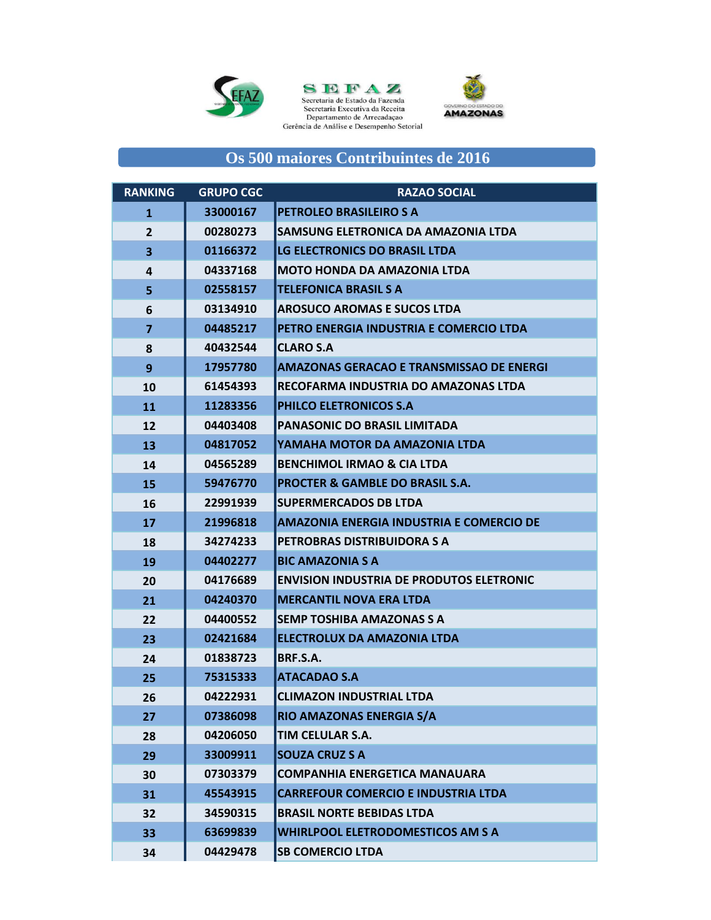





## **Os 500 maiores Contribuintes de 2016**

| <b>RANKING</b> | <b>GRUPO CGC</b> | <b>RAZAO SOCIAL</b>                             |
|----------------|------------------|-------------------------------------------------|
| 1              | 33000167         | <b>PETROLEO BRASILEIRO S A</b>                  |
| $\overline{2}$ | 00280273         | SAMSUNG ELETRONICA DA AMAZONIA LTDA             |
| 3              | 01166372         | LG ELECTRONICS DO BRASIL LTDA                   |
| 4              | 04337168         | <b>MOTO HONDA DA AMAZONIA LTDA</b>              |
| 5              | 02558157         | <b>TELEFONICA BRASIL S A</b>                    |
| 6              | 03134910         | <b>AROSUCO AROMAS E SUCOS LTDA</b>              |
| 7              | 04485217         | PETRO ENERGIA INDUSTRIA E COMERCIO LTDA         |
| 8              | 40432544         | <b>CLARO S.A</b>                                |
| 9              | 17957780         | AMAZONAS GERACAO E TRANSMISSAO DE ENERGI        |
| 10             | 61454393         | RECOFARMA INDUSTRIA DO AMAZONAS LTDA            |
| 11             | 11283356         | PHILCO ELETRONICOS S.A                          |
| 12             | 04403408         | <b>PANASONIC DO BRASIL LIMITADA</b>             |
| 13             | 04817052         | YAMAHA MOTOR DA AMAZONIA LTDA                   |
| 14             | 04565289         | <b>BENCHIMOL IRMAO &amp; CIA LTDA</b>           |
| 15             | 59476770         | <b>PROCTER &amp; GAMBLE DO BRASIL S.A.</b>      |
| 16             | 22991939         | <b>SUPERMERCADOS DB LTDA</b>                    |
| 17             | 21996818         | <b>AMAZONIA ENERGIA INDUSTRIA E COMERCIO DE</b> |
| 18             | 34274233         | PETROBRAS DISTRIBUIDORA S A                     |
| 19             | 04402277         | <b>BIC AMAZONIA S A</b>                         |
| 20             | 04176689         | <b>ENVISION INDUSTRIA DE PRODUTOS ELETRONIC</b> |
| 21             | 04240370         | <b>MERCANTIL NOVA ERA LTDA</b>                  |
| 22             | 04400552         | <b>SEMP TOSHIBA AMAZONAS S A</b>                |
| 23             | 02421684         | <b>ELECTROLUX DA AMAZONIA LTDA</b>              |
| 24             | 01838723         | BRF.S.A.                                        |
| 25             | 75315333         | <b>ATACADAO S.A</b>                             |
| 26             | 04222931         | <b>CLIMAZON INDUSTRIAL LTDA</b>                 |
| 27             | 07386098         | RIO AMAZONAS ENERGIA S/A                        |
| 28             | 04206050         | TIM CELULAR S.A.                                |
| 29             | 33009911         | <b>SOUZA CRUZ S A</b>                           |
| 30             | 07303379         | <b>COMPANHIA ENERGETICA MANAUARA</b>            |
| 31             | 45543915         | <b>CARREFOUR COMERCIO E INDUSTRIA LTDA</b>      |
| 32             | 34590315         | <b>BRASIL NORTE BEBIDAS LTDA</b>                |
| 33             | 63699839         | <b>WHIRLPOOL ELETRODOMESTICOS AM S A</b>        |
| 34             | 04429478         | <b>SB COMERCIO LTDA</b>                         |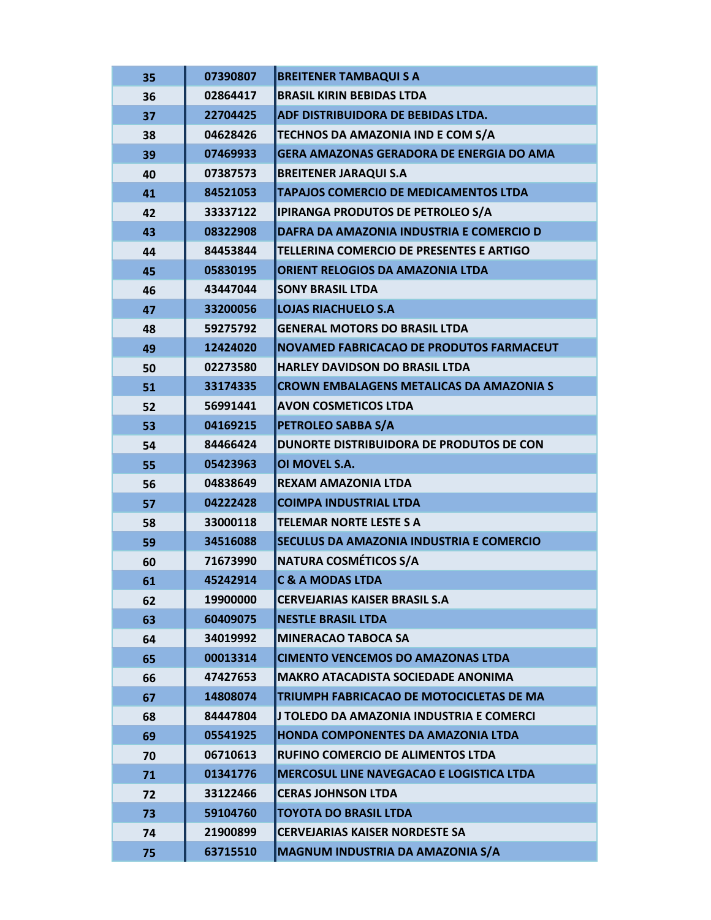| 35 | 07390807 | <b>BREITENER TAMBAQUI S A</b>                   |
|----|----------|-------------------------------------------------|
| 36 | 02864417 | <b>BRASIL KIRIN BEBIDAS LTDA</b>                |
| 37 | 22704425 | ADF DISTRIBUIDORA DE BEBIDAS LTDA.              |
| 38 | 04628426 | <b>TECHNOS DA AMAZONIA IND E COM S/A</b>        |
| 39 | 07469933 | <b>GERA AMAZONAS GERADORA DE ENERGIA DO AMA</b> |
| 40 | 07387573 | <b>BREITENER JARAQUI S.A</b>                    |
| 41 | 84521053 | TAPAJOS COMERCIO DE MEDICAMENTOS LTDA           |
| 42 | 33337122 | <b>IPIRANGA PRODUTOS DE PETROLEO S/A</b>        |
| 43 | 08322908 | DAFRA DA AMAZONIA INDUSTRIA E COMERCIO D        |
| 44 | 84453844 | <b>TELLERINA COMERCIO DE PRESENTES E ARTIGO</b> |
| 45 | 05830195 | <b>ORIENT RELOGIOS DA AMAZONIA LTDA</b>         |
| 46 | 43447044 | <b>SONY BRASIL LTDA</b>                         |
| 47 | 33200056 | <b>LOJAS RIACHUELO S.A</b>                      |
| 48 | 59275792 | <b>GENERAL MOTORS DO BRASIL LTDA</b>            |
| 49 | 12424020 | <b>NOVAMED FABRICACAO DE PRODUTOS FARMACEUT</b> |
| 50 | 02273580 | <b>HARLEY DAVIDSON DO BRASIL LTDA</b>           |
| 51 | 33174335 | <b>CROWN EMBALAGENS METALICAS DA AMAZONIA S</b> |
| 52 | 56991441 | <b>AVON COSMETICOS LTDA</b>                     |
| 53 | 04169215 | PETROLEO SABBA S/A                              |
| 54 | 84466424 | DUNORTE DISTRIBUIDORA DE PRODUTOS DE CON        |
| 55 | 05423963 | OI MOVEL S.A.                                   |
| 56 | 04838649 | <b>REXAM AMAZONIA LTDA</b>                      |
| 57 | 04222428 | <b>COIMPA INDUSTRIAL LTDA</b>                   |
| 58 | 33000118 | TELEMAR NORTE LESTE S A                         |
| 59 | 34516088 | SECULUS DA AMAZONIA INDUSTRIA E COMERCIO        |
| 60 | 71673990 | <b>NATURA COSMÉTICOS S/A</b>                    |
| 61 | 45242914 | <b>C &amp; A MODAS LTDA</b>                     |
| 62 | 19900000 | <b>CERVEJARIAS KAISER BRASIL S.A.</b>           |
| 63 | 60409075 | <b>NESTLE BRASIL LTDA</b>                       |
| 64 | 34019992 | <b>MINERACAO TABOCA SA</b>                      |
| 65 | 00013314 | <b>CIMENTO VENCEMOS DO AMAZONAS LTDA</b>        |
| 66 | 47427653 | <b>MAKRO ATACADISTA SOCIEDADE ANONIMA</b>       |
| 67 | 14808074 | TRIUMPH FABRICACAO DE MOTOCICLETAS DE MA        |
| 68 | 84447804 | J TOLEDO DA AMAZONIA INDUSTRIA E COMERCI        |
| 69 | 05541925 | <b>HONDA COMPONENTES DA AMAZONIA LTDA</b>       |
| 70 | 06710613 | <b>RUFINO COMERCIO DE ALIMENTOS LTDA</b>        |
| 71 | 01341776 | <b>MERCOSUL LINE NAVEGACAO E LOGISTICA LTDA</b> |
| 72 | 33122466 | <b>CERAS JOHNSON LTDA</b>                       |
| 73 | 59104760 | <b>TOYOTA DO BRASIL LTDA</b>                    |
| 74 | 21900899 | <b>CERVEJARIAS KAISER NORDESTE SA</b>           |
| 75 | 63715510 | MAGNUM INDUSTRIA DA AMAZONIA S/A                |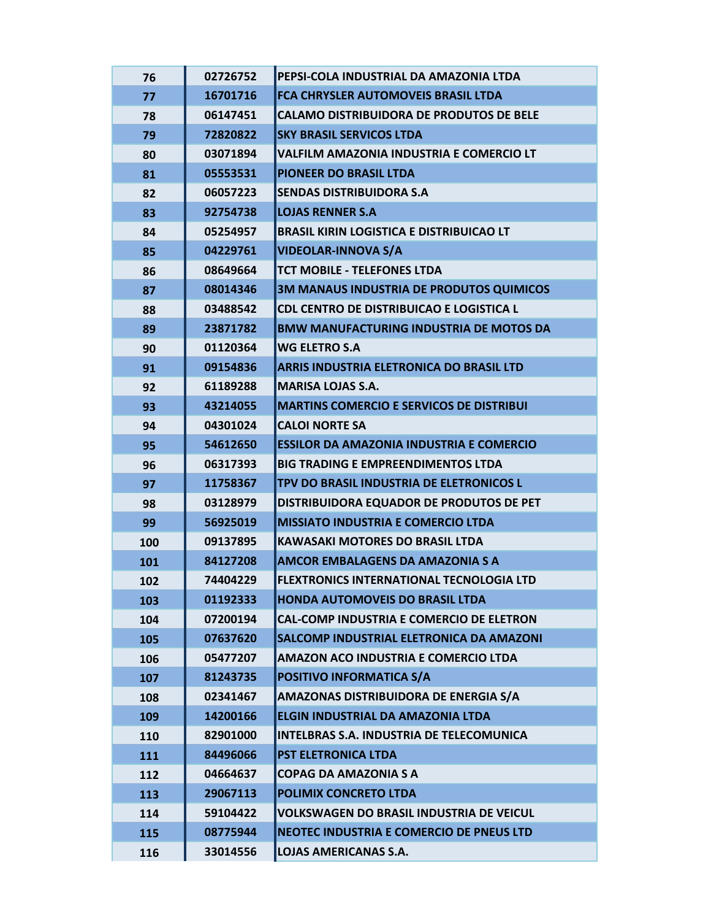| 76  | 02726752 | PEPSI-COLA INDUSTRIAL DA AMAZONIA LTDA          |
|-----|----------|-------------------------------------------------|
| 77  | 16701716 | FCA CHRYSLER AUTOMOVEIS BRASIL LTDA             |
| 78  | 06147451 | <b>CALAMO DISTRIBUIDORA DE PRODUTOS DE BELE</b> |
| 79  | 72820822 | <b>SKY BRASIL SERVICOS LTDA</b>                 |
| 80  | 03071894 | VALFILM AMAZONIA INDUSTRIA E COMERCIO LT        |
| 81  | 05553531 | PIONEER DO BRASIL LTDA                          |
| 82  | 06057223 | <b>SENDAS DISTRIBUIDORA S.A</b>                 |
| 83  | 92754738 | <b>LOJAS RENNER S.A</b>                         |
| 84  | 05254957 | <b>BRASIL KIRIN LOGISTICA E DISTRIBUICAO LT</b> |
| 85  | 04229761 | <b>VIDEOLAR-INNOVA S/A</b>                      |
| 86  | 08649664 | TCT MOBILE - TELEFONES LTDA                     |
| 87  | 08014346 | 3M MANAUS INDUSTRIA DE PRODUTOS QUIMICOS        |
| 88  | 03488542 | CDL CENTRO DE DISTRIBUICAO E LOGISTICA L        |
| 89  | 23871782 | <b>BMW MANUFACTURING INDUSTRIA DE MOTOS DA</b>  |
| 90  | 01120364 | <b>WG ELETRO S.A</b>                            |
| 91  | 09154836 | ARRIS INDUSTRIA ELETRONICA DO BRASIL LTD        |
| 92  | 61189288 | <b>MARISA LOJAS S.A.</b>                        |
| 93  | 43214055 | <b>MARTINS COMERCIO E SERVICOS DE DISTRIBUI</b> |
| 94  | 04301024 | <b>CALOI NORTE SA</b>                           |
| 95  | 54612650 | <b>ESSILOR DA AMAZONIA INDUSTRIA E COMERCIO</b> |
| 96  | 06317393 | <b>BIG TRADING E EMPREENDIMENTOS LTDA</b>       |
| 97  | 11758367 | TPV DO BRASIL INDUSTRIA DE ELETRONICOS L        |
| 98  | 03128979 | DISTRIBUIDORA EQUADOR DE PRODUTOS DE PET        |
| 99  | 56925019 | <b>MISSIATO INDUSTRIA E COMERCIO LTDA</b>       |
| 100 | 09137895 | <b>KAWASAKI MOTORES DO BRASIL LTDA</b>          |
| 101 | 84127208 | <b>AMCOR EMBALAGENS DA AMAZONIA S A</b>         |
| 102 | 74404229 | <b>FLEXTRONICS INTERNATIONAL TECNOLOGIA LTD</b> |
| 103 | 01192333 | <b>HONDA AUTOMOVEIS DO BRASIL LTDA</b>          |
| 104 | 07200194 | <b>CAL-COMP INDUSTRIA E COMERCIO DE ELETRON</b> |
| 105 | 07637620 | SALCOMP INDUSTRIAL ELETRONICA DA AMAZONI        |
| 106 | 05477207 | AMAZON ACO INDUSTRIA E COMERCIO LTDA            |
| 107 | 81243735 | POSITIVO INFORMATICA S/A                        |
| 108 | 02341467 | AMAZONAS DISTRIBUIDORA DE ENERGIA S/A           |
| 109 | 14200166 | ELGIN INDUSTRIAL DA AMAZONIA LTDA               |
| 110 | 82901000 | <b>INTELBRAS S.A. INDUSTRIA DE TELECOMUNICA</b> |
| 111 | 84496066 | PST ELETRONICA LTDA                             |
| 112 | 04664637 | <b>COPAG DA AMAZONIA S A</b>                    |
| 113 | 29067113 | <b>POLIMIX CONCRETO LTDA</b>                    |
| 114 | 59104422 | <b>VOLKSWAGEN DO BRASIL INDUSTRIA DE VEICUL</b> |
| 115 | 08775944 | NEOTEC INDUSTRIA E COMERCIO DE PNEUS LTD        |
| 116 | 33014556 | <b>LOJAS AMERICANAS S.A.</b>                    |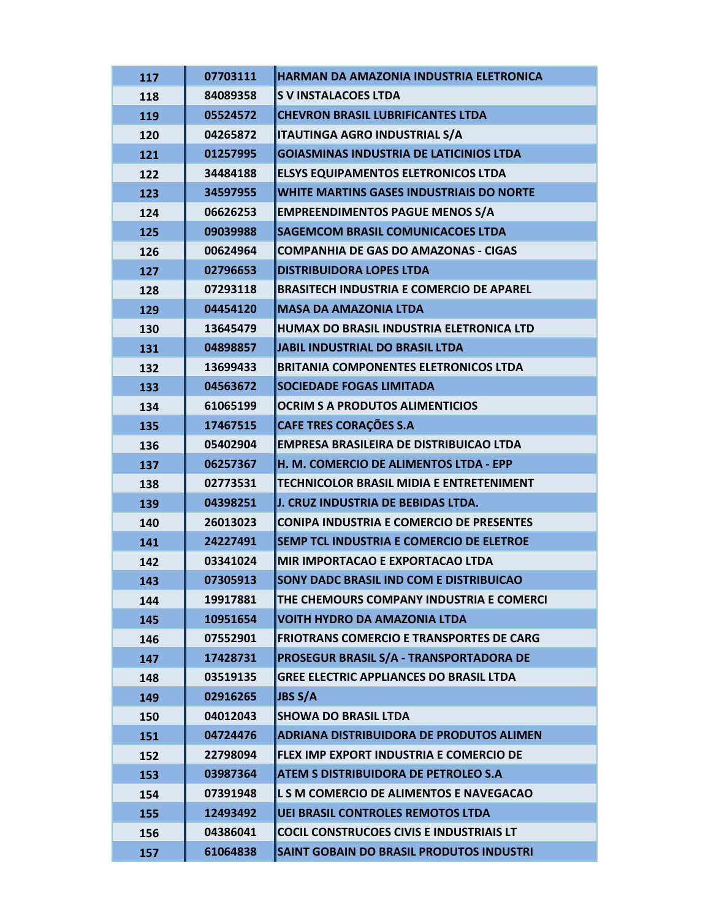| 117 | 07703111 | HARMAN DA AMAZONIA INDUSTRIA ELETRONICA         |
|-----|----------|-------------------------------------------------|
| 118 | 84089358 | <b>S V INSTALACOES LTDA</b>                     |
| 119 | 05524572 | <b>CHEVRON BRASIL LUBRIFICANTES LTDA</b>        |
| 120 | 04265872 | <b>ITAUTINGA AGRO INDUSTRIAL S/A</b>            |
| 121 | 01257995 | <b>GOIASMINAS INDUSTRIA DE LATICINIOS LTDA</b>  |
| 122 | 34484188 | <b>ELSYS EQUIPAMENTOS ELETRONICOS LTDA</b>      |
| 123 | 34597955 | <b>WHITE MARTINS GASES INDUSTRIAIS DO NORTE</b> |
| 124 | 06626253 | <b>EMPREENDIMENTOS PAGUE MENOS S/A</b>          |
| 125 | 09039988 | <b>SAGEMCOM BRASIL COMUNICACOES LTDA</b>        |
| 126 | 00624964 | <b>COMPANHIA DE GAS DO AMAZONAS - CIGAS</b>     |
| 127 | 02796653 | <b>DISTRIBUIDORA LOPES LTDA</b>                 |
| 128 | 07293118 | <b>BRASITECH INDUSTRIA E COMERCIO DE APAREL</b> |
| 129 | 04454120 | <b>MASA DA AMAZONIA LTDA</b>                    |
| 130 | 13645479 | HUMAX DO BRASIL INDUSTRIA ELETRONICA LTD        |
| 131 | 04898857 | <b>JABIL INDUSTRIAL DO BRASIL LTDA</b>          |
| 132 | 13699433 | <b>BRITANIA COMPONENTES ELETRONICOS LTDA</b>    |
| 133 | 04563672 | <b>SOCIEDADE FOGAS LIMITADA</b>                 |
| 134 | 61065199 | <b>OCRIM S A PRODUTOS ALIMENTICIOS</b>          |
| 135 | 17467515 | <b>CAFE TRES CORAÇÕES S.A</b>                   |
| 136 | 05402904 | <b>EMPRESA BRASILEIRA DE DISTRIBUICAO LTDA</b>  |
| 137 | 06257367 | H. M. COMERCIO DE ALIMENTOS LTDA - EPP          |
| 138 | 02773531 | TECHNICOLOR BRASIL MIDIA E ENTRETENIMENT        |
| 139 | 04398251 | J. CRUZ INDUSTRIA DE BEBIDAS LTDA.              |
| 140 | 26013023 | <b>CONIPA INDUSTRIA E COMERCIO DE PRESENTES</b> |
| 141 | 24227491 | SEMP TCL INDUSTRIA E COMERCIO DE ELETROE        |
| 142 | 03341024 | MIR IMPORTACAO E EXPORTACAO LTDA                |
| 143 | 07305913 | SONY DADC BRASIL IND COM E DISTRIBUICAO         |
| 144 | 19917881 | THE CHEMOURS COMPANY INDUSTRIA E COMERCI        |
| 145 | 10951654 | <b>VOITH HYDRO DA AMAZONIA LTDA</b>             |
| 146 | 07552901 | <b>FRIOTRANS COMERCIO E TRANSPORTES DE CARG</b> |
| 147 | 17428731 | PROSEGUR BRASIL S/A - TRANSPORTADORA DE         |
| 148 | 03519135 | <b>GREE ELECTRIC APPLIANCES DO BRASIL LTDA</b>  |
| 149 | 02916265 | <b>JBS S/A</b>                                  |
| 150 | 04012043 | <b>SHOWA DO BRASIL LTDA</b>                     |
| 151 | 04724476 | <b>ADRIANA DISTRIBUIDORA DE PRODUTOS ALIMEN</b> |
| 152 | 22798094 | FLEX IMP EXPORT INDUSTRIA E COMERCIO DE         |
| 153 | 03987364 | <b>ATEM S DISTRIBUIDORA DE PETROLEO S.A</b>     |
| 154 | 07391948 | L S M COMERCIO DE ALIMENTOS E NAVEGACAO         |
| 155 | 12493492 | <b>UEI BRASIL CONTROLES REMOTOS LTDA</b>        |
| 156 | 04386041 | <b>COCIL CONSTRUCOES CIVIS E INDUSTRIAIS LT</b> |
| 157 | 61064838 | SAINT GOBAIN DO BRASIL PRODUTOS INDUSTRI        |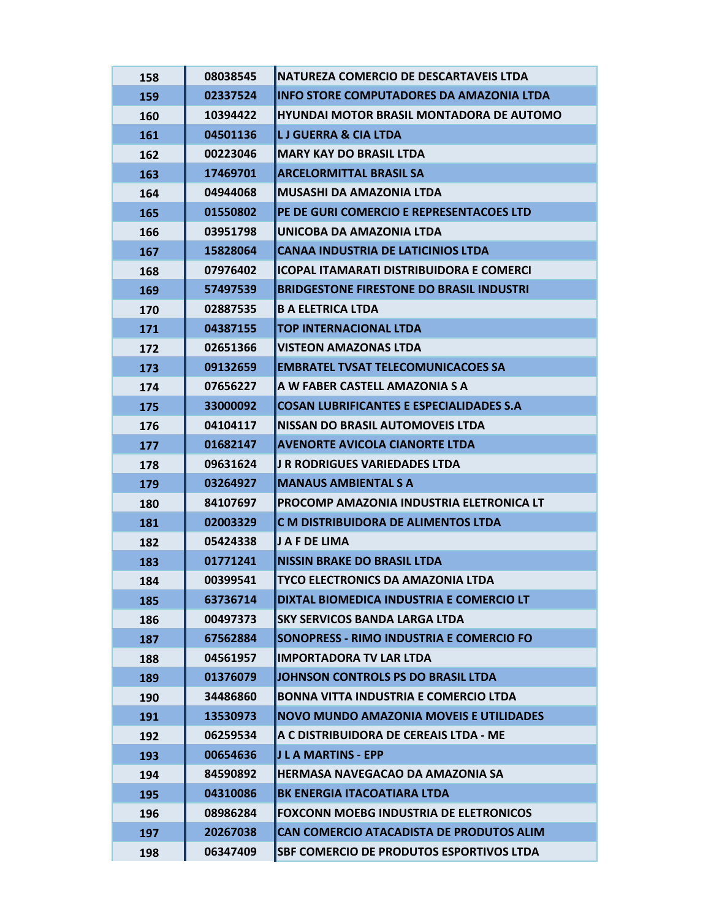| 158 | 08038545 | INATUREZA COMERCIO DE DESCARTAVEIS LTDA         |
|-----|----------|-------------------------------------------------|
| 159 | 02337524 | <b>INFO STORE COMPUTADORES DA AMAZONIA LTDA</b> |
| 160 | 10394422 | <b>HYUNDAI MOTOR BRASIL MONTADORA DE AUTOMO</b> |
| 161 | 04501136 | <b>LJ GUERRA &amp; CIA LTDA</b>                 |
| 162 | 00223046 | <b>MARY KAY DO BRASIL LTDA</b>                  |
| 163 | 17469701 | <b>ARCELORMITTAL BRASIL SA</b>                  |
| 164 | 04944068 | <b>MUSASHI DA AMAZONIA LTDA</b>                 |
| 165 | 01550802 | PE DE GURI COMERCIO E REPRESENTACOES LTD        |
| 166 | 03951798 | UNICOBA DA AMAZONIA LTDA                        |
| 167 | 15828064 | <b>CANAA INDUSTRIA DE LATICINIOS LTDA</b>       |
| 168 | 07976402 | IICOPAL ITAMARATI DISTRIBUIDORA E COMERCI       |
| 169 | 57497539 | <b>BRIDGESTONE FIRESTONE DO BRASIL INDUSTRI</b> |
| 170 | 02887535 | <b>B A ELETRICA LTDA</b>                        |
| 171 | 04387155 | <b>TOP INTERNACIONAL LTDA</b>                   |
| 172 | 02651366 | <b>VISTEON AMAZONAS LTDA</b>                    |
| 173 | 09132659 | <b>EMBRATEL TVSAT TELECOMUNICACOES SA</b>       |
| 174 | 07656227 | A W FABER CASTELL AMAZONIA S A                  |
| 175 | 33000092 | <b>COSAN LUBRIFICANTES E ESPECIALIDADES S.A</b> |
| 176 | 04104117 | NISSAN DO BRASIL AUTOMOVEIS LTDA                |
| 177 | 01682147 | <b>AVENORTE AVICOLA CIANORTE LTDA</b>           |
| 178 | 09631624 | <b>J R RODRIGUES VARIEDADES LTDA</b>            |
| 179 | 03264927 | <b>MANAUS AMBIENTAL S A</b>                     |
| 180 | 84107697 | PROCOMP AMAZONIA INDUSTRIA ELETRONICA LT        |
| 181 | 02003329 | C M DISTRIBUIDORA DE ALIMENTOS LTDA             |
| 182 | 05424338 | J A F DE LIMA                                   |
| 183 | 01771241 | <b>NISSIN BRAKE DO BRASIL LTDA</b>              |
| 184 | 00399541 | <b>TYCO ELECTRONICS DA AMAZONIA LTDA</b>        |
| 185 | 63736714 | DIXTAL BIOMEDICA INDUSTRIA E COMERCIO LT        |
| 186 | 00497373 | <b>SKY SERVICOS BANDA LARGA LTDA</b>            |
| 187 | 67562884 | SONOPRESS - RIMO INDUSTRIA E COMERCIO FO        |
| 188 | 04561957 | <b>IMPORTADORA TV LAR LTDA</b>                  |
| 189 | 01376079 | JOHNSON CONTROLS PS DO BRASIL LTDA              |
| 190 | 34486860 | <b>BONNA VITTA INDUSTRIA E COMERCIO LTDA</b>    |
| 191 | 13530973 | NOVO MUNDO AMAZONIA MOVEIS E UTILIDADES         |
| 192 | 06259534 | A C DISTRIBUIDORA DE CEREAIS LTDA - ME          |
| 193 | 00654636 | IJ L A MARTINS - EPP                            |
| 194 | 84590892 | HERMASA NAVEGACAO DA AMAZONIA SA                |
| 195 | 04310086 | <b>BK ENERGIA ITACOATIARA LTDA</b>              |
| 196 | 08986284 | FOXCONN MOEBG INDUSTRIA DE ELETRONICOS          |
| 197 | 20267038 | CAN COMERCIO ATACADISTA DE PRODUTOS ALIM        |
| 198 | 06347409 | <b>SBF COMERCIO DE PRODUTOS ESPORTIVOS LTDA</b> |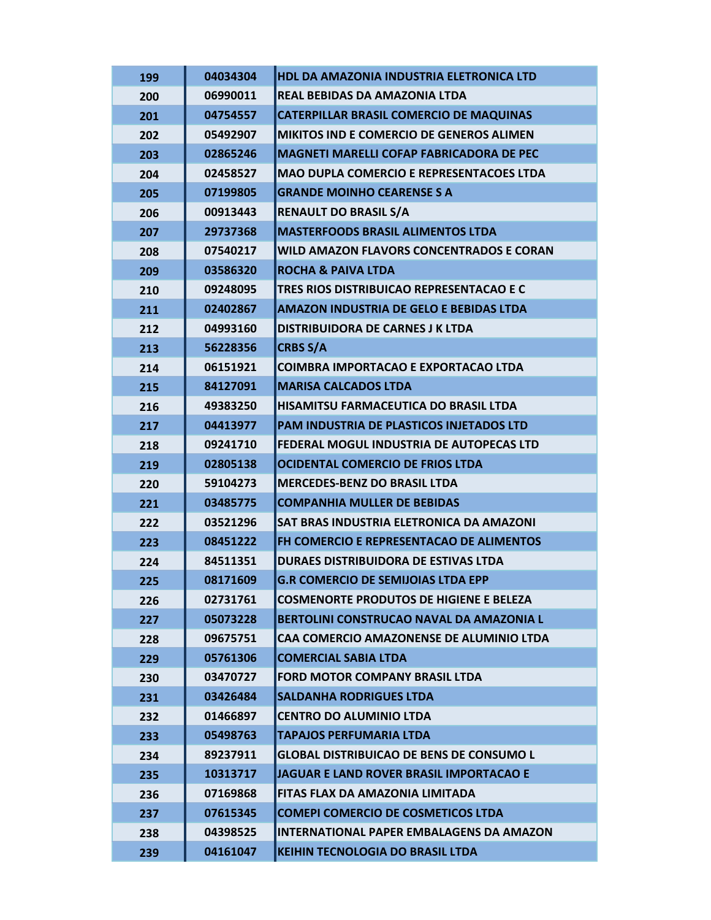| 199 | 04034304 | HDL DA AMAZONIA INDUSTRIA ELETRONICA LTD        |
|-----|----------|-------------------------------------------------|
| 200 | 06990011 | REAL BEBIDAS DA AMAZONIA LTDA                   |
| 201 | 04754557 | <b>CATERPILLAR BRASIL COMERCIO DE MAQUINAS</b>  |
| 202 | 05492907 | MIKITOS IND E COMERCIO DE GENEROS ALIMEN        |
| 203 | 02865246 | MAGNETI MARELLI COFAP FABRICADORA DE PEC        |
| 204 | 02458527 | <b>MAO DUPLA COMERCIO E REPRESENTACOES LTDA</b> |
| 205 | 07199805 | <b>GRANDE MOINHO CEARENSE S A</b>               |
| 206 | 00913443 | <b>RENAULT DO BRASIL S/A</b>                    |
| 207 | 29737368 | <b>MASTERFOODS BRASIL ALIMENTOS LTDA</b>        |
| 208 | 07540217 | WILD AMAZON FLAVORS CONCENTRADOS E CORAN        |
| 209 | 03586320 | <b>ROCHA &amp; PAIVA LTDA</b>                   |
| 210 | 09248095 | TRES RIOS DISTRIBUICAO REPRESENTACAO E C        |
| 211 | 02402867 | <b>AMAZON INDUSTRIA DE GELO E BEBIDAS LTDA</b>  |
| 212 | 04993160 | DISTRIBUIDORA DE CARNES J K LTDA                |
| 213 | 56228356 | <b>CRBS S/A</b>                                 |
| 214 | 06151921 | <b>COIMBRA IMPORTACAO E EXPORTACAO LTDA</b>     |
| 215 | 84127091 | <b>MARISA CALCADOS LTDA</b>                     |
| 216 | 49383250 | <b>HISAMITSU FARMACEUTICA DO BRASIL LTDA</b>    |
| 217 | 04413977 | PAM INDUSTRIA DE PLASTICOS INJETADOS LTD        |
| 218 | 09241710 | FEDERAL MOGUL INDUSTRIA DE AUTOPECAS LTD        |
| 219 | 02805138 | <b>OCIDENTAL COMERCIO DE FRIOS LTDA</b>         |
| 220 | 59104273 | <b>MERCEDES-BENZ DO BRASIL LTDA</b>             |
| 221 | 03485775 | <b>COMPANHIA MULLER DE BEBIDAS</b>              |
| 222 | 03521296 | SAT BRAS INDUSTRIA ELETRONICA DA AMAZONI        |
| 223 | 08451222 | FH COMERCIO E REPRESENTACAO DE ALIMENTOS        |
| 224 | 84511351 | DURAES DISTRIBUIDORA DE ESTIVAS LTDA            |
| 225 | 08171609 | <b>G.R COMERCIO DE SEMIJOIAS LTDA EPP</b>       |
| 226 | 02731761 | <b>COSMENORTE PRODUTOS DE HIGIENE E BELEZA</b>  |
| 227 | 05073228 | <b>BERTOLINI CONSTRUCAO NAVAL DA AMAZONIA L</b> |
| 228 | 09675751 | CAA COMERCIO AMAZONENSE DE ALUMINIO LTDA        |
| 229 | 05761306 | <b>COMERCIAL SABIA LTDA</b>                     |
| 230 | 03470727 | <b>FORD MOTOR COMPANY BRASIL LTDA</b>           |
| 231 | 03426484 | <b>SALDANHA RODRIGUES LTDA</b>                  |
| 232 | 01466897 | <b>CENTRO DO ALUMINIO LTDA</b>                  |
| 233 | 05498763 | <b>TAPAJOS PERFUMARIA LTDA</b>                  |
| 234 | 89237911 | <b>GLOBAL DISTRIBUICAO DE BENS DE CONSUMO L</b> |
| 235 | 10313717 | JAGUAR E LAND ROVER BRASIL IMPORTACAO E         |
| 236 |          |                                                 |
|     | 07169868 | FITAS FLAX DA AMAZONIA LIMITADA                 |
| 237 | 07615345 | <b>COMEPI COMERCIO DE COSMETICOS LTDA</b>       |
| 238 | 04398525 | <b>INTERNATIONAL PAPER EMBALAGENS DA AMAZON</b> |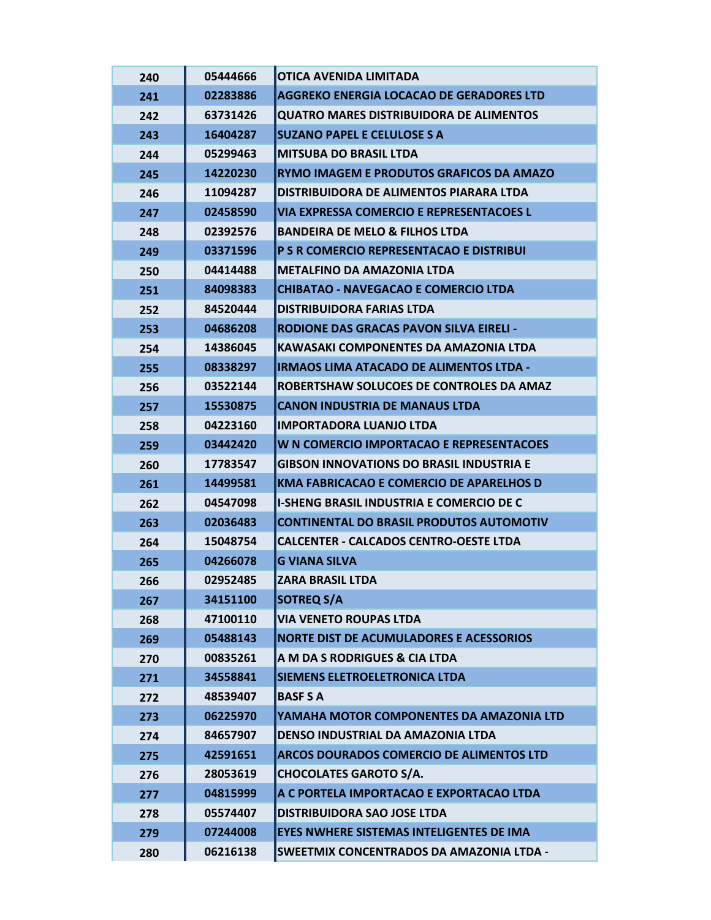| 240 | 05444666 | OTICA AVENIDA LIMITADA                          |
|-----|----------|-------------------------------------------------|
| 241 | 02283886 | <b>AGGREKO ENERGIA LOCACAO DE GERADORES LTD</b> |
| 242 | 63731426 | <b>QUATRO MARES DISTRIBUIDORA DE ALIMENTOS</b>  |
| 243 | 16404287 | <b>SUZANO PAPEL E CELULOSE S A</b>              |
| 244 | 05299463 | <b>MITSUBA DO BRASIL LTDA</b>                   |
| 245 | 14220230 | RYMO IMAGEM E PRODUTOS GRAFICOS DA AMAZO        |
| 246 | 11094287 | DISTRIBUIDORA DE ALIMENTOS PIARARA LTDA         |
| 247 | 02458590 | VIA EXPRESSA COMERCIO E REPRESENTACOES L        |
| 248 | 02392576 | <b>BANDEIRA DE MELO &amp; FILHOS LTDA</b>       |
| 249 | 03371596 | P S R COMERCIO REPRESENTACAO E DISTRIBUI        |
| 250 | 04414488 | METALFINO DA AMAZONIA LTDA                      |
| 251 | 84098383 | <b>CHIBATAO - NAVEGACAO E COMERCIO LTDA</b>     |
| 252 | 84520444 | <b>DISTRIBUIDORA FARIAS LTDA</b>                |
| 253 | 04686208 | <b>RODIONE DAS GRACAS PAVON SILVA EIRELI -</b>  |
| 254 | 14386045 | KAWASAKI COMPONENTES DA AMAZONIA LTDA           |
| 255 | 08338297 | <b>IRMAOS LIMA ATACADO DE ALIMENTOS LTDA -</b>  |
| 256 | 03522144 | ROBERTSHAW SOLUCOES DE CONTROLES DA AMAZ        |
| 257 | 15530875 | <b>CANON INDUSTRIA DE MANAUS LTDA</b>           |
| 258 | 04223160 | <b>IMPORTADORA LUANJO LTDA</b>                  |
| 259 | 03442420 | W N COMERCIO IMPORTACAO E REPRESENTACOES        |
| 260 | 17783547 | <b>GIBSON INNOVATIONS DO BRASIL INDUSTRIA E</b> |
| 261 | 14499581 | <b>KMA FABRICACAO E COMERCIO DE APARELHOS D</b> |
| 262 | 04547098 | <b>I-SHENG BRASIL INDUSTRIA E COMERCIO DE C</b> |
| 263 | 02036483 | <b>CONTINENTAL DO BRASIL PRODUTOS AUTOMOTIV</b> |
| 264 | 15048754 | <b>CALCENTER - CALCADOS CENTRO-OESTE LTDA</b>   |
| 265 | 04266078 | <b>G VIANA SILVA</b>                            |
| 266 | 02952485 | <b>ZARA BRASIL LTDA</b>                         |
| 267 | 34151100 | <b>SOTREQ S/A</b>                               |
| 268 | 47100110 | <b>VIA VENETO ROUPAS LTDA</b>                   |
| 269 | 05488143 | <b>NORTE DIST DE ACUMULADORES E ACESSORIOS</b>  |
| 270 | 00835261 | A M DA S RODRIGUES & CIA LTDA                   |
| 271 | 34558841 | <b>SIEMENS ELETROELETRONICA LTDA</b>            |
| 272 | 48539407 | <b>BASF S A</b>                                 |
| 273 | 06225970 | YAMAHA MOTOR COMPONENTES DA AMAZONIA LTD        |
| 274 | 84657907 | DENSO INDUSTRIAL DA AMAZONIA LTDA               |
| 275 | 42591651 | ARCOS DOURADOS COMERCIO DE ALIMENTOS LTD        |
| 276 | 28053619 | <b>CHOCOLATES GAROTO S/A.</b>                   |
| 277 | 04815999 | A C PORTELA IMPORTACAO E EXPORTACAO LTDA        |
| 278 | 05574407 | <b>DISTRIBUIDORA SAO JOSE LTDA</b>              |
| 279 | 07244008 | EYES NWHERE SISTEMAS INTELIGENTES DE IMA        |
| 280 | 06216138 | <b>SWEETMIX CONCENTRADOS DA AMAZONIA LTDA -</b> |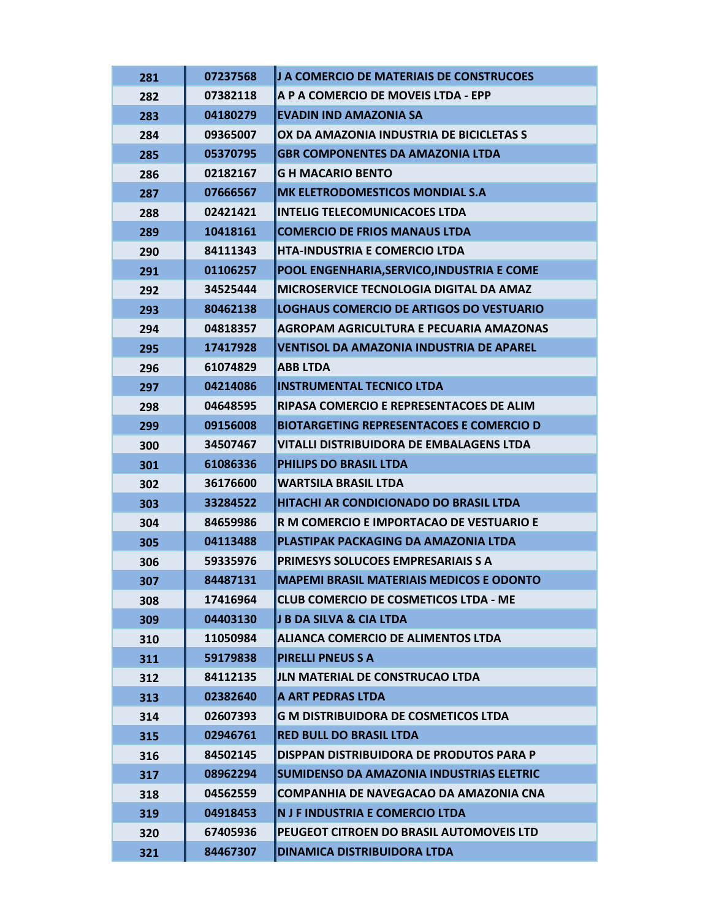| 281 | 07237568 | J A COMERCIO DE MATERIAIS DE CONSTRUCOES        |
|-----|----------|-------------------------------------------------|
| 282 | 07382118 | A P A COMERCIO DE MOVEIS LTDA - EPP             |
| 283 | 04180279 | <b>EVADIN IND AMAZONIA SA</b>                   |
| 284 | 09365007 | OX DA AMAZONIA INDUSTRIA DE BICICLETAS S        |
| 285 | 05370795 | <b>GBR COMPONENTES DA AMAZONIA LTDA</b>         |
| 286 | 02182167 | <b>G H MACARIO BENTO</b>                        |
| 287 | 07666567 | MK ELETRODOMESTICOS MONDIAL S.A                 |
| 288 | 02421421 | <b>INTELIG TELECOMUNICACOES LTDA</b>            |
| 289 | 10418161 | <b>COMERCIO DE FRIOS MANAUS LTDA</b>            |
| 290 | 84111343 | <b>HTA-INDUSTRIA E COMERCIO LTDA</b>            |
| 291 | 01106257 | POOL ENGENHARIA, SERVICO, INDUSTRIA E COME      |
| 292 | 34525444 | MICROSERVICE TECNOLOGIA DIGITAL DA AMAZ         |
| 293 | 80462138 | <b>LOGHAUS COMERCIO DE ARTIGOS DO VESTUARIO</b> |
| 294 | 04818357 | <b>AGROPAM AGRICULTURA E PECUARIA AMAZONAS</b>  |
| 295 | 17417928 | VENTISOL DA AMAZONIA INDUSTRIA DE APAREL        |
| 296 | 61074829 | <b>ABB LTDA</b>                                 |
| 297 | 04214086 | <b>INSTRUMENTAL TECNICO LTDA</b>                |
| 298 | 04648595 | RIPASA COMERCIO E REPRESENTACOES DE ALIM        |
| 299 | 09156008 | <b>BIOTARGETING REPRESENTACOES E COMERCIO D</b> |
| 300 | 34507467 | VITALLI DISTRIBUIDORA DE EMBALAGENS LTDA        |
| 301 | 61086336 | PHILIPS DO BRASIL LTDA                          |
| 302 | 36176600 | <b>WARTSILA BRASIL LTDA</b>                     |
| 303 | 33284522 | HITACHI AR CONDICIONADO DO BRASIL LTDA          |
| 304 | 84659986 | R M COMERCIO E IMPORTACAO DE VESTUARIO E        |
| 305 | 04113488 | PLASTIPAK PACKAGING DA AMAZONIA LTDA            |
| 306 | 59335976 | PRIMESYS SOLUCOES EMPRESARIAIS S A              |
| 307 | 84487131 | <b>MAPEMI BRASIL MATERIAIS MEDICOS E ODONTO</b> |
| 308 | 17416964 | <b>CLUB COMERCIO DE COSMETICOS LTDA - ME</b>    |
| 309 | 04403130 | J B DA SILVA & CIA LTDA                         |
| 310 | 11050984 | <b>ALIANCA COMERCIO DE ALIMENTOS LTDA</b>       |
| 311 | 59179838 | <b>PIRELLI PNEUS S A</b>                        |
| 312 | 84112135 | <b>JLN MATERIAL DE CONSTRUCAO LTDA</b>          |
| 313 | 02382640 | A ART PEDRAS LTDA                               |
| 314 | 02607393 | <b>G M DISTRIBUIDORA DE COSMETICOS LTDA</b>     |
| 315 | 02946761 | <b>RED BULL DO BRASIL LTDA</b>                  |
| 316 | 84502145 | DISPPAN DISTRIBUIDORA DE PRODUTOS PARA P        |
| 317 | 08962294 | SUMIDENSO DA AMAZONIA INDUSTRIAS ELETRIC        |
| 318 | 04562559 | <b>COMPANHIA DE NAVEGACAO DA AMAZONIA CNA</b>   |
| 319 | 04918453 | N J F INDUSTRIA E COMERCIO LTDA                 |
| 320 | 67405936 | PEUGEOT CITROEN DO BRASIL AUTOMOVEIS LTD        |
|     |          |                                                 |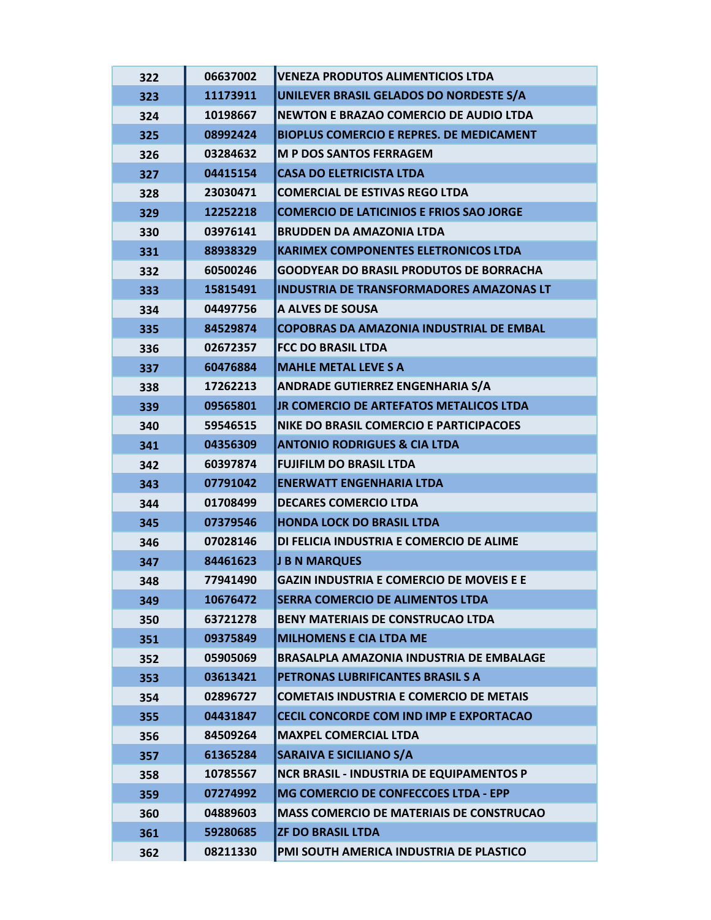| 322 | 06637002 | VENEZA PRODUTOS ALIMENTICIOS LTDA               |
|-----|----------|-------------------------------------------------|
| 323 | 11173911 | UNILEVER BRASIL GELADOS DO NORDESTE S/A         |
| 324 | 10198667 | <b>NEWTON E BRAZAO COMERCIO DE AUDIO LTDA</b>   |
| 325 | 08992424 | <b>BIOPLUS COMERCIO E REPRES. DE MEDICAMENT</b> |
| 326 | 03284632 | <b>M P DOS SANTOS FERRAGEM</b>                  |
| 327 | 04415154 | <b>CASA DO ELETRICISTA LTDA</b>                 |
| 328 | 23030471 | <b>COMERCIAL DE ESTIVAS REGO LTDA</b>           |
| 329 | 12252218 | <b>COMERCIO DE LATICINIOS E FRIOS SAO JORGE</b> |
| 330 | 03976141 | <b>BRUDDEN DA AMAZONIA LTDA</b>                 |
| 331 | 88938329 | <b>KARIMEX COMPONENTES ELETRONICOS LTDA</b>     |
| 332 | 60500246 | <b>GOODYEAR DO BRASIL PRODUTOS DE BORRACHA</b>  |
| 333 | 15815491 | <b>INDUSTRIA DE TRANSFORMADORES AMAZONAS LT</b> |
| 334 | 04497756 | A ALVES DE SOUSA                                |
| 335 | 84529874 | <b>COPOBRAS DA AMAZONIA INDUSTRIAL DE EMBAL</b> |
| 336 | 02672357 | <b>FCC DO BRASIL LTDA</b>                       |
| 337 | 60476884 | <b>MAHLE METAL LEVE S A</b>                     |
| 338 | 17262213 | <b>ANDRADE GUTIERREZ ENGENHARIA S/A</b>         |
| 339 | 09565801 | JR COMERCIO DE ARTEFATOS METALICOS LTDA         |
| 340 | 59546515 | NIKE DO BRASIL COMERCIO E PARTICIPACOES         |
| 341 | 04356309 | <b>ANTONIO RODRIGUES &amp; CIA LTDA</b>         |
| 342 | 60397874 | <b>FUJIFILM DO BRASIL LTDA</b>                  |
| 343 | 07791042 | <b>ENERWATT ENGENHARIA LTDA</b>                 |
| 344 | 01708499 | <b>DECARES COMERCIO LTDA</b>                    |
| 345 | 07379546 | <b>HONDA LOCK DO BRASIL LTDA</b>                |
| 346 | 07028146 | DI FELICIA INDUSTRIA E COMERCIO DE ALIME        |
| 347 | 84461623 | J B N MARQUES                                   |
| 348 | 77941490 | <b>GAZIN INDUSTRIA E COMERCIO DE MOVEIS E E</b> |
| 349 | 10676472 | <b>SERRA COMERCIO DE ALIMENTOS LTDA</b>         |
| 350 | 63721278 | <b>BENY MATERIAIS DE CONSTRUCAO LTDA</b>        |
| 351 | 09375849 | <b>MILHOMENS E CIA LTDA ME</b>                  |
| 352 | 05905069 | <b>BRASALPLA AMAZONIA INDUSTRIA DE EMBALAGE</b> |
| 353 | 03613421 | PETRONAS LUBRIFICANTES BRASIL S A               |
| 354 | 02896727 | <b>COMETAIS INDUSTRIA E COMERCIO DE METAIS</b>  |
| 355 | 04431847 | CECIL CONCORDE COM IND IMP E EXPORTACAO         |
| 356 | 84509264 | <b>MAXPEL COMERCIAL LTDA</b>                    |
| 357 | 61365284 | <b>SARAIVA E SICILIANO S/A</b>                  |
| 358 | 10785567 | <b>NCR BRASIL - INDUSTRIA DE EQUIPAMENTOS P</b> |
| 359 | 07274992 | MG COMERCIO DE CONFECCOES LTDA - EPP            |
| 360 | 04889603 | <b>MASS COMERCIO DE MATERIAIS DE CONSTRUCAO</b> |
| 361 | 59280685 | <b>ZF DO BRASIL LTDA</b>                        |
| 362 | 08211330 | PMI SOUTH AMERICA INDUSTRIA DE PLASTICO         |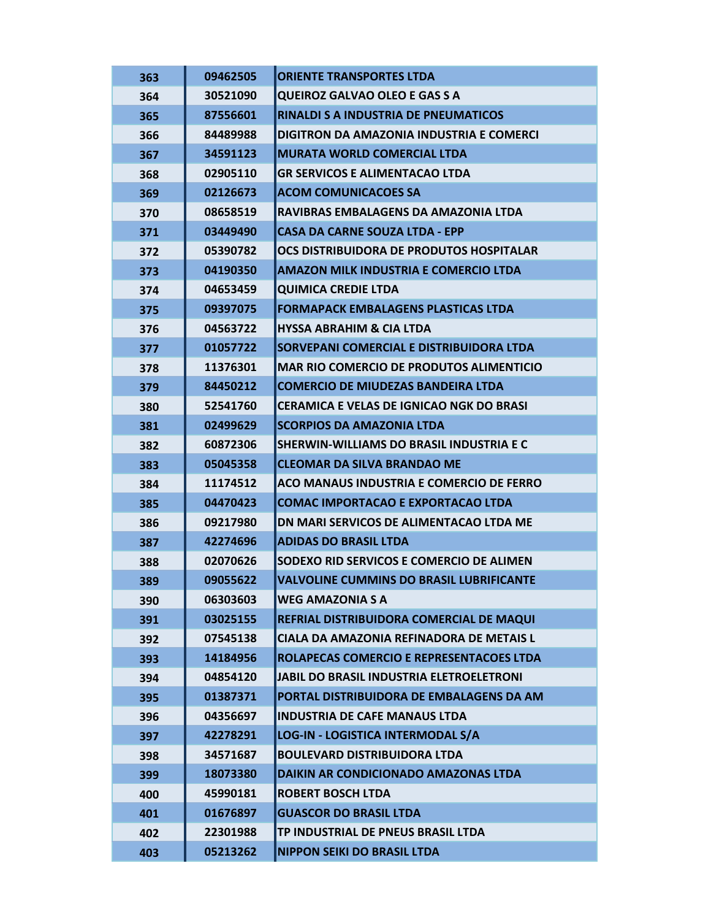| 363 | 09462505 | <b>ORIENTE TRANSPORTES LTDA</b>                 |
|-----|----------|-------------------------------------------------|
| 364 | 30521090 | <b>QUEIROZ GALVAO OLEO E GAS S A</b>            |
| 365 | 87556601 | <b>RINALDI S A INDUSTRIA DE PNEUMATICOS</b>     |
| 366 | 84489988 | DIGITRON DA AMAZONIA INDUSTRIA E COMERCI        |
| 367 | 34591123 | <b>MURATA WORLD COMERCIAL LTDA</b>              |
| 368 | 02905110 | <b>GR SERVICOS E ALIMENTACAO LTDA</b>           |
| 369 | 02126673 | <b>ACOM COMUNICACOES SA</b>                     |
| 370 | 08658519 | RAVIBRAS EMBALAGENS DA AMAZONIA LTDA            |
| 371 | 03449490 | <b>CASA DA CARNE SOUZA LTDA - EPP</b>           |
| 372 | 05390782 | OCS DISTRIBUIDORA DE PRODUTOS HOSPITALAR        |
| 373 | 04190350 | <b>AMAZON MILK INDUSTRIA E COMERCIO LTDA</b>    |
| 374 | 04653459 | <b>QUIMICA CREDIE LTDA</b>                      |
| 375 | 09397075 | <b>FORMAPACK EMBALAGENS PLASTICAS LTDA</b>      |
| 376 | 04563722 | <b>HYSSA ABRAHIM &amp; CIA LTDA</b>             |
| 377 | 01057722 | SORVEPANI COMERCIAL E DISTRIBUIDORA LTDA        |
| 378 | 11376301 | <b>MAR RIO COMERCIO DE PRODUTOS ALIMENTICIO</b> |
| 379 | 84450212 | <b>COMERCIO DE MIUDEZAS BANDEIRA LTDA</b>       |
| 380 | 52541760 | <b>CERAMICA E VELAS DE IGNICAO NGK DO BRASI</b> |
| 381 | 02499629 | <b>SCORPIOS DA AMAZONIA LTDA</b>                |
| 382 | 60872306 | SHERWIN-WILLIAMS DO BRASIL INDUSTRIA E C        |
| 383 | 05045358 | <b>CLEOMAR DA SILVA BRANDAO ME</b>              |
| 384 | 11174512 | ACO MANAUS INDUSTRIA E COMERCIO DE FERRO        |
| 385 | 04470423 | <b>COMAC IMPORTACAO E EXPORTACAO LTDA</b>       |
| 386 | 09217980 | DN MARI SERVICOS DE ALIMENTACAO LTDA ME         |
| 387 | 42274696 | <b>ADIDAS DO BRASIL LTDA</b>                    |
| 388 | 02070626 | SODEXO RID SERVICOS E COMERCIO DE ALIMEN        |
| 389 | 09055622 | <b>VALVOLINE CUMMINS DO BRASIL LUBRIFICANTE</b> |
| 390 | 06303603 | <b>WEG AMAZONIA S A</b>                         |
| 391 | 03025155 | REFRIAL DISTRIBUIDORA COMERCIAL DE MAQUI        |
| 392 | 07545138 | CIALA DA AMAZONIA REFINADORA DE METAIS L        |
| 393 | 14184956 | ROLAPECAS COMERCIO E REPRESENTACOES LTDA        |
| 394 | 04854120 | JABIL DO BRASIL INDUSTRIA ELETROELETRONI        |
| 395 | 01387371 | PORTAL DISTRIBUIDORA DE EMBALAGENS DA AM        |
| 396 | 04356697 | <b>INDUSTRIA DE CAFE MANAUS LTDA</b>            |
| 397 | 42278291 | LOG-IN - LOGISTICA INTERMODAL S/A               |
| 398 | 34571687 | <b>BOULEVARD DISTRIBUIDORA LTDA</b>             |
| 399 | 18073380 | DAIKIN AR CONDICIONADO AMAZONAS LTDA            |
| 400 | 45990181 | <b>ROBERT BOSCH LTDA</b>                        |
| 401 | 01676897 | <b>GUASCOR DO BRASIL LTDA</b>                   |
| 402 | 22301988 | TP INDUSTRIAL DE PNEUS BRASIL LTDA              |
| 403 | 05213262 | <b>NIPPON SEIKI DO BRASIL LTDA</b>              |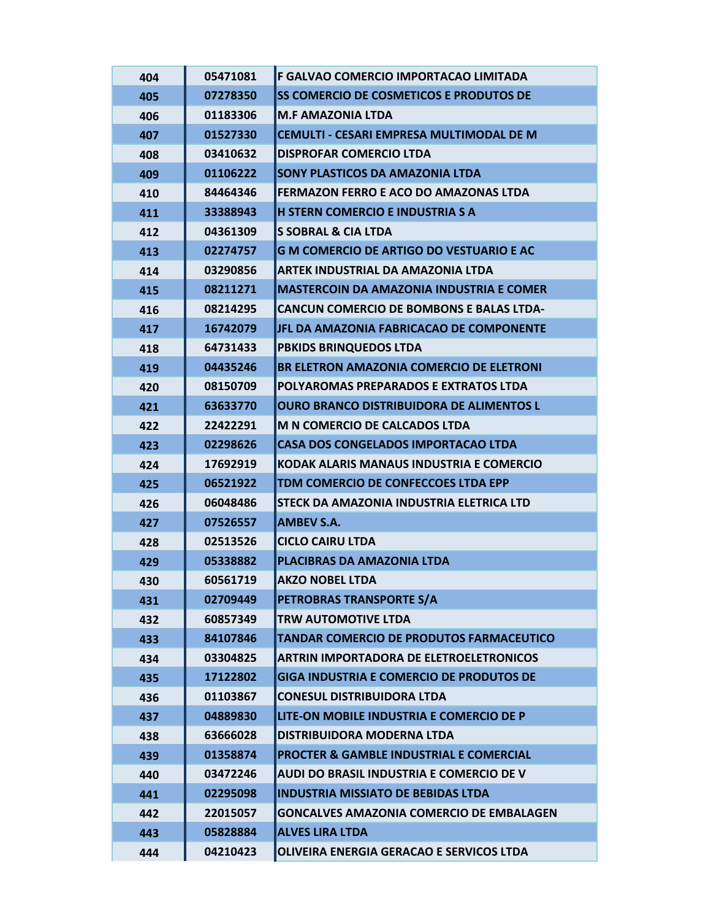| 404 | 05471081 | F GALVAO COMERCIO IMPORTACAO LIMITADA              |
|-----|----------|----------------------------------------------------|
| 405 | 07278350 | SS COMERCIO DE COSMETICOS E PRODUTOS DE            |
| 406 | 01183306 | <b>M.F AMAZONIA LTDA</b>                           |
| 407 | 01527330 | CEMULTI - CESARI EMPRESA MULTIMODAL DE M           |
| 408 | 03410632 | <b>DISPROFAR COMERCIO LTDA</b>                     |
| 409 | 01106222 | <b>SONY PLASTICOS DA AMAZONIA LTDA</b>             |
| 410 | 84464346 | <b>FERMAZON FERRO E ACO DO AMAZONAS LTDA</b>       |
| 411 | 33388943 | <b>H STERN COMERCIO E INDUSTRIA S A</b>            |
| 412 | 04361309 | <b>S SOBRAL &amp; CIA LTDA</b>                     |
| 413 | 02274757 | <b>G M COMERCIO DE ARTIGO DO VESTUARIO E AC</b>    |
| 414 | 03290856 | <b>ARTEK INDUSTRIAL DA AMAZONIA LTDA</b>           |
| 415 | 08211271 | <b>MASTERCOIN DA AMAZONIA INDUSTRIA E COMER</b>    |
| 416 | 08214295 | <b>CANCUN COMERCIO DE BOMBONS E BALAS LTDA-</b>    |
| 417 | 16742079 | JFL DA AMAZONIA FABRICACAO DE COMPONENTE           |
| 418 | 64731433 | <b>PBKIDS BRINQUEDOS LTDA</b>                      |
| 419 | 04435246 | BR ELETRON AMAZONIA COMERCIO DE ELETRONI           |
| 420 | 08150709 | POLYAROMAS PREPARADOS E EXTRATOS LTDA              |
| 421 | 63633770 | <b>OURO BRANCO DISTRIBUIDORA DE ALIMENTOS L</b>    |
| 422 | 22422291 | M N COMERCIO DE CALCADOS LTDA                      |
| 423 | 02298626 | <b>CASA DOS CONGELADOS IMPORTACAO LTDA</b>         |
| 424 | 17692919 | KODAK ALARIS MANAUS INDUSTRIA E COMERCIO           |
| 425 | 06521922 | TDM COMERCIO DE CONFECCOES LTDA EPP                |
| 426 | 06048486 | STECK DA AMAZONIA INDUSTRIA ELETRICA LTD           |
| 427 | 07526557 | <b>AMBEV S.A.</b>                                  |
| 428 | 02513526 | <b>CICLO CAIRU LTDA</b>                            |
| 429 | 05338882 | PLACIBRAS DA AMAZONIA LTDA                         |
| 430 | 60561719 | <b>AKZO NOBEL LTDA</b>                             |
| 431 | 02709449 | PETROBRAS TRANSPORTE S/A                           |
| 432 | 60857349 | <b>TRW AUTOMOTIVE LTDA</b>                         |
| 433 | 84107846 | <b>TANDAR COMERCIO DE PRODUTOS FARMACEUTICO</b>    |
| 434 | 03304825 | <b>ARTRIN IMPORTADORA DE ELETROELETRONICOS</b>     |
| 435 | 17122802 | <b>GIGA INDUSTRIA E COMERCIO DE PRODUTOS DE</b>    |
| 436 | 01103867 | <b>CONESUL DISTRIBUIDORA LTDA</b>                  |
| 437 | 04889830 | LITE-ON MOBILE INDUSTRIA E COMERCIO DE P           |
| 438 | 63666028 | DISTRIBUIDORA MODERNA LTDA                         |
| 439 | 01358874 | <b>PROCTER &amp; GAMBLE INDUSTRIAL E COMERCIAL</b> |
| 440 | 03472246 | <b>AUDI DO BRASIL INDUSTRIA E COMERCIO DE V</b>    |
| 441 | 02295098 | <b>INDUSTRIA MISSIATO DE BEBIDAS LTDA</b>          |
| 442 | 22015057 | <b>GONCALVES AMAZONIA COMERCIO DE EMBALAGEN</b>    |
| 443 | 05828884 | <b>ALVES LIRA LTDA</b>                             |
| 444 | 04210423 | OLIVEIRA ENERGIA GERACAO E SERVICOS LTDA           |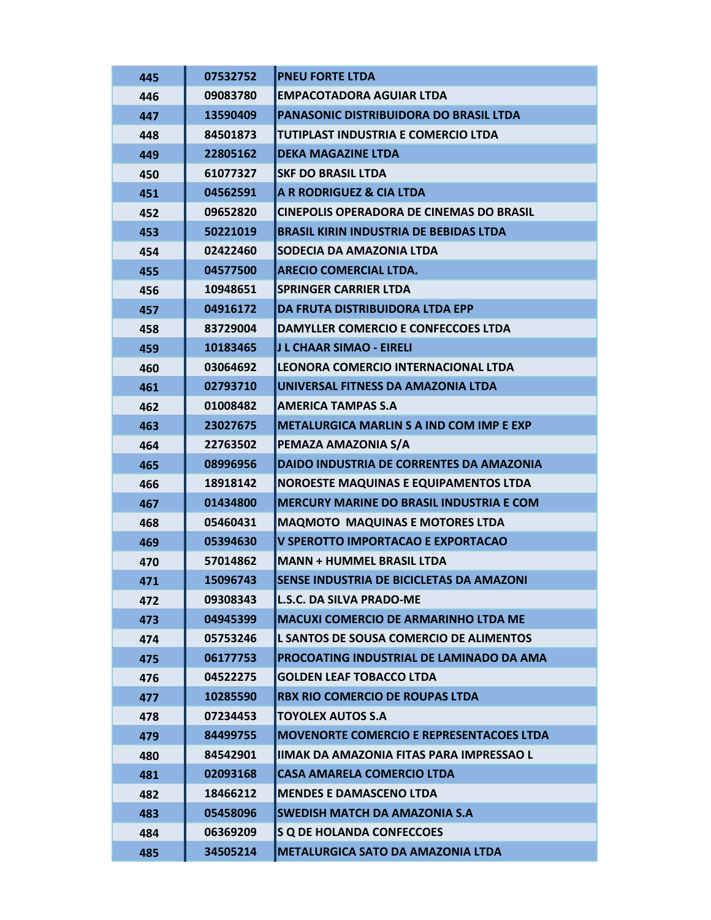| 445 | 07532752 | <b>PNEU FORTE LTDA</b>                          |
|-----|----------|-------------------------------------------------|
| 446 | 09083780 | <b>EMPACOTADORA AGUIAR LTDA</b>                 |
| 447 | 13590409 | PANASONIC DISTRIBUIDORA DO BRASIL LTDA          |
| 448 | 84501873 | TUTIPLAST INDUSTRIA E COMERCIO LTDA             |
| 449 | 22805162 | <b>DEKA MAGAZINE LTDA</b>                       |
| 450 | 61077327 | <b>SKF DO BRASIL LTDA</b>                       |
| 451 | 04562591 | A R RODRIGUEZ & CIA LTDA                        |
| 452 | 09652820 | <b>CINEPOLIS OPERADORA DE CINEMAS DO BRASIL</b> |
| 453 | 50221019 | <b>BRASIL KIRIN INDUSTRIA DE BEBIDAS LTDA</b>   |
| 454 | 02422460 | SODECIA DA AMAZONIA LTDA                        |
| 455 | 04577500 | <b>ARECIO COMERCIAL LTDA.</b>                   |
| 456 | 10948651 | <b>SPRINGER CARRIER LTDA</b>                    |
| 457 | 04916172 | DA FRUTA DISTRIBUIDORA LTDA EPP                 |
| 458 | 83729004 | DAMYLLER COMERCIO E CONFECCOES LTDA             |
| 459 | 10183465 | J L CHAAR SIMAO - EIRELI                        |
| 460 | 03064692 | LEONORA COMERCIO INTERNACIONAL LTDA             |
| 461 | 02793710 | UNIVERSAL FITNESS DA AMAZONIA LTDA              |
| 462 | 01008482 | <b>AMERICA TAMPAS S.A</b>                       |
| 463 | 23027675 | <b>METALURGICA MARLIN S A IND COM IMP E EXP</b> |
| 464 | 22763502 | PEMAZA AMAZONIA S/A                             |
| 465 | 08996956 | <b>DAIDO INDUSTRIA DE CORRENTES DA AMAZONIA</b> |
| 466 | 18918142 | <b>NOROESTE MAQUINAS E EQUIPAMENTOS LTDA</b>    |
| 467 | 01434800 | <b>MERCURY MARINE DO BRASIL INDUSTRIA E COM</b> |
| 468 | 05460431 | <b>MAQMOTO MAQUINAS E MOTORES LTDA</b>          |
| 469 | 05394630 | V SPEROTTO IMPORTACAO E EXPORTACAO              |
| 470 | 57014862 | <b>MANN + HUMMEL BRASIL LTDA</b>                |
| 471 | 15096743 | SENSE INDUSTRIA DE BICICLETAS DA AMAZONI        |
| 472 | 09308343 | <b>L.S.C. DA SILVA PRADO-ME</b>                 |
| 473 | 04945399 | <b>MACUXI COMERCIO DE ARMARINHO LTDA ME</b>     |
| 474 | 05753246 | L SANTOS DE SOUSA COMERCIO DE ALIMENTOS         |
| 475 | 06177753 | PROCOATING INDUSTRIAL DE LAMINADO DA AMA        |
| 476 | 04522275 | <b>GOLDEN LEAF TOBACCO LTDA</b>                 |
| 477 | 10285590 | <b>RBX RIO COMERCIO DE ROUPAS LTDA</b>          |
| 478 | 07234453 | <b>TOYOLEX AUTOS S.A</b>                        |
| 479 | 84499755 | <b>MOVENORTE COMERCIO E REPRESENTACOES LTDA</b> |
| 480 | 84542901 | IIMAK DA AMAZONIA FITAS PARA IMPRESSAO L        |
| 481 | 02093168 | <b>CASA AMARELA COMERCIO LTDA</b>               |
| 482 | 18466212 | <b>MENDES E DAMASCENO LTDA</b>                  |
| 483 | 05458096 | <b>SWEDISH MATCH DA AMAZONIA S.A</b>            |
| 484 | 06369209 | S Q DE HOLANDA CONFECCOES                       |
| 485 | 34505214 | <b>METALURGICA SATO DA AMAZONIA LTDA</b>        |